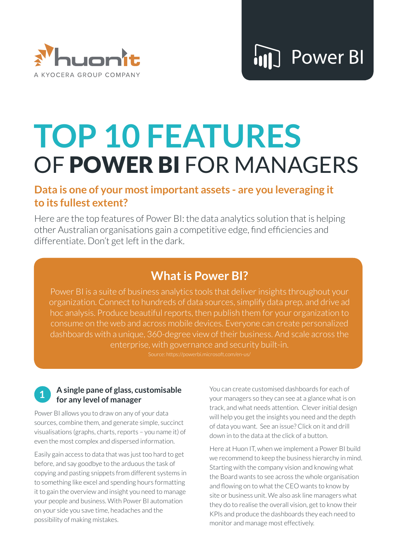

# **TOP 10 FEATURES** OF POWER BI FOR MANAGERS

### **Data is one of your most important assets - are you leveraging it to its fullest extent?**

Here are the top features of Power BI: the data analytics solution that is helping other Australian organisations gain a competitive edge, find efficiencies and differentiate. Don't get left in the dark.

# **What is Power BI?**

Power BI is a suite of business analytics tools that deliver insights throughout your organization. Connect to hundreds of data sources, simplify data prep, and drive ad hoc analysis. Produce beautiful reports, then publish them for your organization to consume on the web and across mobile devices. Everyone can create personalized dashboards with a unique, 360-degree view of their business. And scale across the enterprise, with governance and security built-in.

#### **1 A single pane of glass, customisable for any level of manager**

Power BI allows you to draw on any of your data sources, combine them, and generate simple, succinct visualisations (graphs, charts, reports – you name it) of even the most complex and dispersed information.

Easily gain access to data that was just too hard to get before, and say goodbye to the arduous the task of copying and pasting snippets from different systems in to something like excel and spending hours formatting it to gain the overview and insight you need to manage your people and business. With Power BI automation on your side you save time, headaches and the possibility of making mistakes.

You can create customised dashboards for each of your managers so they can see at a glance what is on track, and what needs attention. Clever initial design will help you get the insights you need and the depth of data you want. See an issue? Click on it and drill down in to the data at the click of a button.

Here at Huon IT, when we implement a Power BI build we recommend to keep the business hierarchy in mind. Starting with the company vision and knowing what the Board wants to see across the whole organisation and flowing on to what the CEO wants to know by site or business unit. We also ask line managers what they do to realise the overall vision, get to know their KPIs and produce the dashboards they each need to monitor and manage most effectively.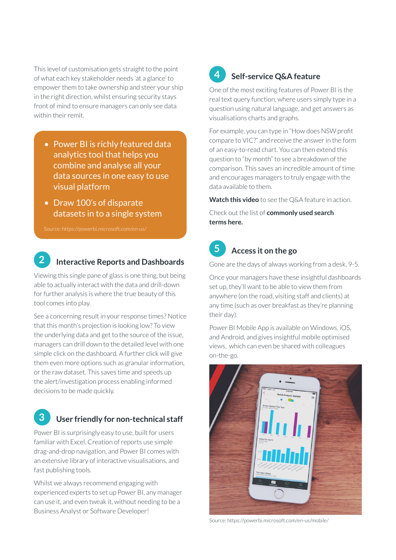This level of customisation gets straight to the point of what each key stakeholder needs 'at a glance' to empower them to take ownership and steer your ship in the right direction, whilst ensuring security stays front of mind to ensure managers can only see data within their remit.

- Power BI is richly featured data analytics tool that helps you combine and analyse all your data sources in one easy to use visual platform
- Draw 100's of disparate datasets in to a single system

#### **2 Interactive Reports and Dashboards**

Viewing this single pane of glass is one thing, but being able to actually interact with the data and drill-down for further analysis is where the true beauty of this tool comes into play.

See a concerning result in your response times? Notice that this month's projection is looking low? To view the underlying data and get to the source of the issue, managers can drill down to the detailed level with one simple click on the dashboard. A further click will give them even more options such as granular information, or the raw dataset. This saves time and speeds up the alert/investigation process enabling informed decisions to be made quickly.

## **3 User friendly for non-technical staff**

Power BI is surprisingly easy to use, built for users familiar with Excel. Creation of reports use simple drag-and-drop navigation, and Power BI comes with an extensive library of interactive visualisations, and fast publishing tools.

Whilst we always recommend engaging with experienced experts to set up Power BI, any manager can use it, and even tweak it, without needing to be a Business Analyst or Software Developer!

# **4 Self-service Q&A feature**

One of the most exciting features of Power BI is the real text query function, where users simply type in a question using natural language, and get answers as visualisations charts and graphs.

For example, you can type in "How does NSW profit compare to VIC?" and receive the answer in the form of an easy-to-read chart. You can then extend this question to "by month" to see a breakdown of the comparison. This saves an incredible amount of time and encourages managers to truly engage with the data available to them.

**Watch this video** to see the Q&A feature in action.

Check out the list of **commonly used search terms here.** 

### **5 Access it on the go**

Gone are the days of always working from a desk, 9-5.

Once your managers have these insightful dashboards set up, they'll want to be able to view them from anywhere (on the road, visiting staff and clients) at any time (such as over breakfast as they're planning their day).

Power BI Mobile App is available on Windows, iOS, and Android, and gives insightful mobile optimised views, which can even be shared with colleagues on-the-go.



Source: https://powerbi.microsoft.com/en-us/mobile/